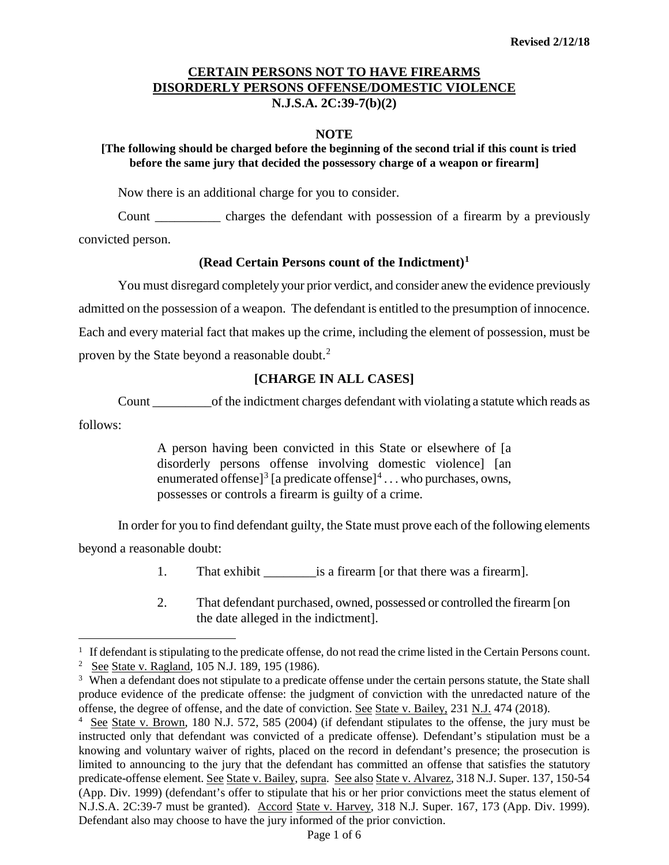#### **NOTE**

## **[The following should be charged before the beginning of the second trial if this count is tried before the same jury that decided the possessory charge of a weapon or firearm]**

Now there is an additional charge for you to consider.

Count \_\_\_\_\_\_\_\_\_\_ charges the defendant with possession of a firearm by a previously convicted person.

### **(Read Certain Persons count of the Indictment)[1](#page-0-0)**

You must disregard completely your prior verdict, and consider anew the evidence previously admitted on the possession of a weapon. The defendant is entitled to the presumption of innocence. Each and every material fact that makes up the crime, including the element of possession, must be proven by the State beyond a reasonable doubt.<sup>[2](#page-0-1)</sup>

## **[CHARGE IN ALL CASES]**

Count \_\_\_\_\_\_\_\_\_of the indictment charges defendant with violating a statute which reads as follows:

> A person having been convicted in this State or elsewhere of [a disorderly persons offense involving domestic violence] [an enumerated offense<sup>[[3](#page-0-2)]</sup> [a predicate offense]<sup>[4](#page-0-3)</sup> . . . who purchases, owns, possesses or controls a firearm is guilty of a crime.

In order for you to find defendant guilty, the State must prove each of the following elements beyond a reasonable doubt:

- 1. That exhibit is a firearm [or that there was a firearm].
- 2. That defendant purchased, owned, possessed or controlled the firearm [on the date alleged in the indictment].

Ĩ. <sup>1</sup> If defendant is stipulating to the predicate offense, do not read the crime listed in the Certain Persons count.

<span id="page-0-1"></span><span id="page-0-0"></span><sup>2</sup> See State v. Ragland, 105 N.J. 189, 195 (1986).

<span id="page-0-2"></span><sup>&</sup>lt;sup>3</sup> When a defendant does not stipulate to a predicate offense under the certain persons statute, the State shall produce evidence of the predicate offense: the judgment of conviction with the unredacted nature of the offense, the degree of offense, and the date of conviction. See State v. Bailey, 231 N.J. 474 (2018).

<span id="page-0-3"></span><sup>4</sup> See State v. Brown, 180 N.J. 572, 585 (2004) (if defendant stipulates to the offense, the jury must be instructed only that defendant was convicted of a predicate offense). Defendant's stipulation must be a knowing and voluntary waiver of rights, placed on the record in defendant's presence; the prosecution is limited to announcing to the jury that the defendant has committed an offense that satisfies the statutory predicate-offense element. See State v. Bailey, supra. See also State v. Alvarez, 318 N.J. Super. 137, 150-54 (App. Div. 1999) (defendant's offer to stipulate that his or her prior convictions meet the status element of N.J.S.A. 2C:39-7 must be granted). Accord State v. Harvey, 318 N.J. Super. 167, 173 (App. Div. 1999). Defendant also may choose to have the jury informed of the prior conviction.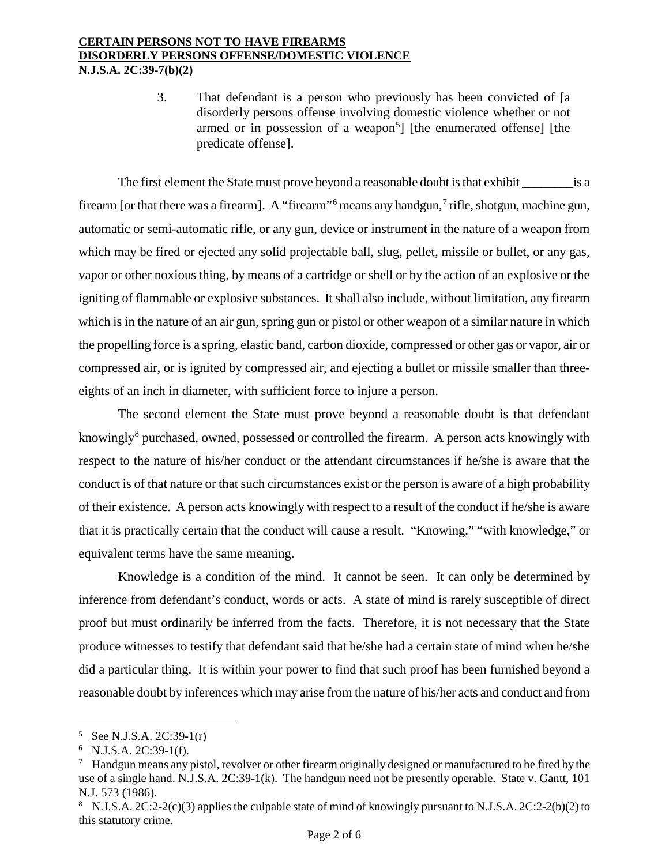3. That defendant is a person who previously has been convicted of [a disorderly persons offense involving domestic violence whether or not armed or in possession of a weapon<sup>[5](#page-1-0)</sup>] [the enumerated offense] [the predicate offense].

The first element the State must prove beyond a reasonable doubt is that exhibit is a firearm [or that there was a firearm]. A "firearm"<sup>[6](#page-1-1)</sup> means any handgun,<sup>[7](#page-1-2)</sup> rifle, shotgun, machine gun, automatic or semi-automatic rifle, or any gun, device or instrument in the nature of a weapon from which may be fired or ejected any solid projectable ball, slug, pellet, missile or bullet, or any gas, vapor or other noxious thing, by means of a cartridge or shell or by the action of an explosive or the igniting of flammable or explosive substances. It shall also include, without limitation, any firearm which is in the nature of an air gun, spring gun or pistol or other weapon of a similar nature in which the propelling force is a spring, elastic band, carbon dioxide, compressed or other gas or vapor, air or compressed air, or is ignited by compressed air, and ejecting a bullet or missile smaller than threeeights of an inch in diameter, with sufficient force to injure a person.

The second element the State must prove beyond a reasonable doubt is that defendant knowingly<sup>[8](#page-1-3)</sup> purchased, owned, possessed or controlled the firearm. A person acts knowingly with respect to the nature of his/her conduct or the attendant circumstances if he/she is aware that the conduct is of that nature or that such circumstances exist or the person is aware of a high probability of their existence. A person acts knowingly with respect to a result of the conduct if he/she is aware that it is practically certain that the conduct will cause a result. "Knowing," "with knowledge," or equivalent terms have the same meaning.

Knowledge is a condition of the mind. It cannot be seen. It can only be determined by inference from defendant's conduct, words or acts. A state of mind is rarely susceptible of direct proof but must ordinarily be inferred from the facts. Therefore, it is not necessary that the State produce witnesses to testify that defendant said that he/she had a certain state of mind when he/she did a particular thing. It is within your power to find that such proof has been furnished beyond a reasonable doubt by inferences which may arise from the nature of his/her acts and conduct and from

<span id="page-1-0"></span>Ĩ.  $5 \text{ See N.J.S.A. } 2C:39-1(r)$ 

<span id="page-1-1"></span><sup>6</sup> N.J.S.A. 2C:39-1(f).

<span id="page-1-2"></span> $\frac{7}{10}$  Handgun means any pistol, revolver or other firearm originally designed or manufactured to be fired by the use of a single hand. N.J.S.A. 2C:39-1(k). The handgun need not be presently operable. State v. Gantt, 101 N.J. 573 (1986).

<span id="page-1-3"></span><sup>8</sup> N.J.S.A. 2C:2-2(c)(3) applies the culpable state of mind of knowingly pursuant to N.J.S.A. 2C:2-2(b)(2) to this statutory crime.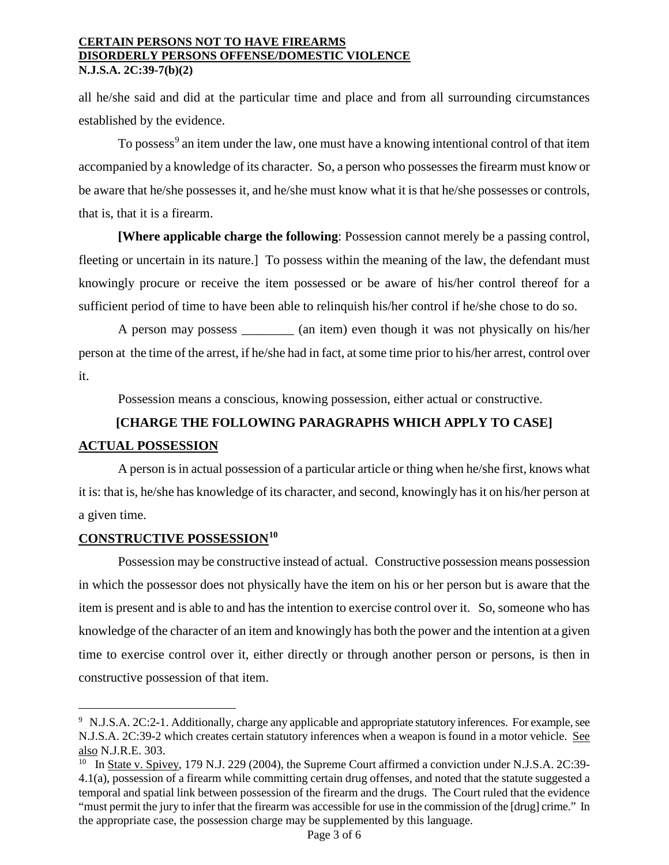all he/she said and did at the particular time and place and from all surrounding circumstances established by the evidence.

To possess<sup>[9](#page-2-0)</sup> an item under the law, one must have a knowing intentional control of that item accompanied by a knowledge of its character. So, a person who possesses the firearm must know or be aware that he/she possesses it, and he/she must know what it is that he/she possesses or controls, that is, that it is a firearm.

**[Where applicable charge the following**: Possession cannot merely be a passing control, fleeting or uncertain in its nature.] To possess within the meaning of the law, the defendant must knowingly procure or receive the item possessed or be aware of his/her control thereof for a sufficient period of time to have been able to relinquish his/her control if he/she chose to do so.

A person may possess \_\_\_\_\_\_\_\_ (an item) even though it was not physically on his/her person at the time of the arrest, if he/she had in fact, at some time prior to his/her arrest, control over it.

Possession means a conscious, knowing possession, either actual or constructive.

# **[CHARGE THE FOLLOWING PARAGRAPHS WHICH APPLY TO CASE] ACTUAL POSSESSION**

A person is in actual possession of a particular article or thing when he/she first, knows what it is: that is, he/she has knowledge of its character, and second, knowingly has it on his/her person at a given time.

# **CONSTRUCTIVE POSSESSION[10](#page-2-1)**

Possession may be constructive instead of actual. Constructive possession means possession in which the possessor does not physically have the item on his or her person but is aware that the item is present and is able to and has the intention to exercise control over it. So, someone who has knowledge of the character of an item and knowingly has both the power and the intention at a given time to exercise control over it, either directly or through another person or persons, is then in constructive possession of that item.

<span id="page-2-0"></span>Ĩ. 9 N.J.S.A. 2C:2-1. Additionally, charge any applicable and appropriate statutory inferences. For example, see N.J.S.A. 2C:39-2 which creates certain statutory inferences when a weapon is found in a motor vehicle. See also N.J.R.E. 303.

<span id="page-2-1"></span><sup>&</sup>lt;sup>10</sup> In State v. Spivey, 179 N.J. 229 (2004), the Supreme Court affirmed a conviction under N.J.S.A. 2C:39-4.1(a), possession of a firearm while committing certain drug offenses, and noted that the statute suggested a temporal and spatial link between possession of the firearm and the drugs. The Court ruled that the evidence "must permit the jury to infer that the firearm was accessible for use in the commission of the [drug] crime." In the appropriate case, the possession charge may be supplemented by this language.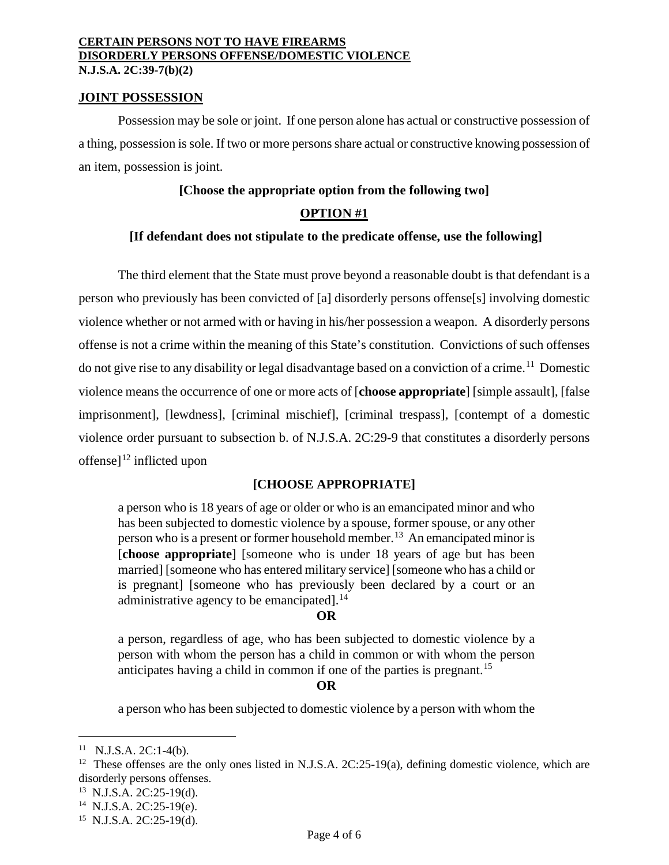#### **JOINT POSSESSION**

Possession may be sole or joint. If one person alone has actual or constructive possession of a thing, possession is sole. If two or more persons share actual or constructive knowing possession of an item, possession is joint.

#### **[Choose the appropriate option from the following two]**

#### **OPTION #1**

#### **[If defendant does not stipulate to the predicate offense, use the following]**

The third element that the State must prove beyond a reasonable doubt is that defendant is a person who previously has been convicted of [a] disorderly persons offense[s] involving domestic violence whether or not armed with or having in his/her possession a weapon. A disorderly persons offense is not a crime within the meaning of this State's constitution. Convictions of such offenses do not give rise to any disability or legal disadvantage based on a conviction of a crime.<sup>[11](#page-3-0)</sup> Domestic violence means the occurrence of one or more acts of [**choose appropriate**] [simple assault], [false imprisonment], [lewdness], [criminal mischief], [criminal trespass], [contempt of a domestic violence order pursuant to subsection b. of N.J.S.A. 2C:29-9 that constitutes a disorderly persons offense]<sup>[12](#page-3-1)</sup> inflicted upon

## **[CHOOSE APPROPRIATE]**

a person who is 18 years of age or older or who is an emancipated minor and who has been subjected to domestic violence by a spouse, former spouse, or any other person who is a present or former household member.<sup>[13](#page-3-2)</sup> An emancipated minor is [**choose appropriate**] [someone who is under 18 years of age but has been married] [someone who has entered military service] [someone who has a child or is pregnant] [someone who has previously been declared by a court or an administrative agency to be emancipated].<sup>[14](#page-3-3)</sup>

#### **OR**

a person, regardless of age, who has been subjected to domestic violence by a person with whom the person has a child in common or with whom the person anticipates having a child in common if one of the parties is pregnant.<sup>[15](#page-3-4)</sup>

#### **OR**

a person who has been subjected to domestic violence by a person with whom the

ī

<span id="page-3-0"></span> $11$  N.J.S.A. 2C:1-4(b).

<span id="page-3-1"></span><sup>&</sup>lt;sup>12</sup> These offenses are the only ones listed in N.J.S.A.  $2C:25-19(a)$ , defining domestic violence, which are disorderly persons offenses.

<span id="page-3-2"></span><sup>13</sup> N.J.S.A. 2C:25-19(d).

<span id="page-3-3"></span><sup>14</sup> N.J.S.A. 2C:25-19(e).

<span id="page-3-4"></span><sup>15</sup> N.J.S.A. 2C:25-19(d).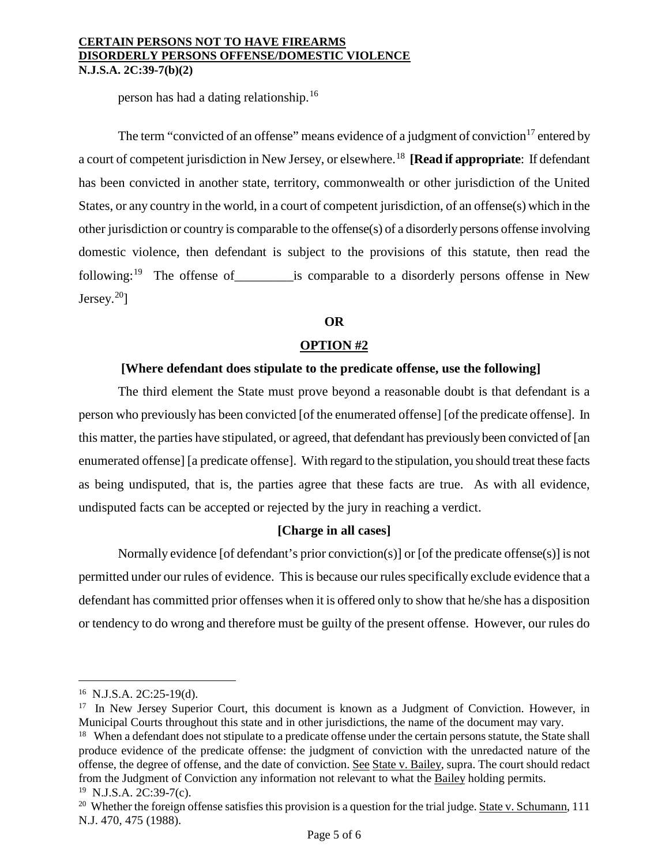person has had a dating relationship.[16](#page-4-0)

The term "convicted of an offense" means evidence of a judgment of conviction<sup>[17](#page-4-1)</sup> entered by a court of competent jurisdiction in New Jersey, or elsewhere.[18](#page-4-2) **[Read if appropriate**: If defendant has been convicted in another state, territory, commonwealth or other jurisdiction of the United States, or any country in the world, in a court of competent jurisdiction, of an offense(s) which in the other jurisdiction or country is comparable to the offense(s) of a disorderly persons offense involving domestic violence, then defendant is subject to the provisions of this statute, then read the following:<sup>[19](#page-4-3)</sup> The offense of  $\qquad$  is comparable to a disorderly persons offense in New Jersey. $20$ ]

## **OR**

# **OPTION #2**

## **[Where defendant does stipulate to the predicate offense, use the following]**

The third element the State must prove beyond a reasonable doubt is that defendant is a person who previously has been convicted [of the enumerated offense] [of the predicate offense]. In this matter, the parties have stipulated, or agreed, that defendant has previously been convicted of [an enumerated offense] [a predicate offense]. With regard to the stipulation, you should treat these facts as being undisputed, that is, the parties agree that these facts are true. As with all evidence, undisputed facts can be accepted or rejected by the jury in reaching a verdict.

## **[Charge in all cases]**

Normally evidence [of defendant's prior conviction(s)] or [of the predicate offense(s)] is not permitted under our rules of evidence. This is because our rules specifically exclude evidence that a defendant has committed prior offenses when it is offered only to show that he/she has a disposition or tendency to do wrong and therefore must be guilty of the present offense. However, our rules do

ī 16 N.J.S.A. 2C:25-19(d).

<span id="page-4-1"></span><span id="page-4-0"></span><sup>&</sup>lt;sup>17</sup> In New Jersey Superior Court, this document is known as a Judgment of Conviction. However, in Municipal Courts throughout this state and in other jurisdictions, the name of the document may vary.

<span id="page-4-2"></span><sup>&</sup>lt;sup>18</sup> When a defendant does not stipulate to a predicate offense under the certain persons statute, the State shall produce evidence of the predicate offense: the judgment of conviction with the unredacted nature of the offense, the degree of offense, and the date of conviction. See State v. Bailey, supra. The court should redact from the Judgment of Conviction any information not relevant to what the Bailey holding permits. <sup>19</sup> N.J.S.A. 2C:39-7(c).

<span id="page-4-4"></span><span id="page-4-3"></span><sup>&</sup>lt;sup>20</sup> Whether the foreign offense satisfies this provision is a question for the trial judge. State v. Schumann, 111 N.J. 470, 475 (1988).